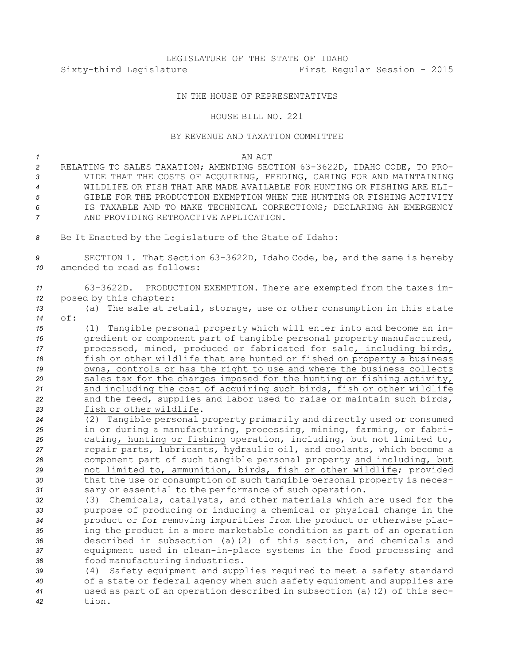# LEGISLATURE OF THE STATE OF IDAHO Sixty-third Legislature First Regular Session - 2015

## IN THE HOUSE OF REPRESENTATIVES

#### HOUSE BILL NO. 221

### BY REVENUE AND TAXATION COMMITTEE

#### *1* AN ACT

- *<sup>2</sup>* RELATING TO SALES TAXATION; AMENDING SECTION 63-3622D, IDAHO CODE, TO PRO-*3* VIDE THAT THE COSTS OF ACQUIRING, FEEDING, CARING FOR AND MAINTAINING *4* WILDLIFE OR FISH THAT ARE MADE AVAILABLE FOR HUNTING OR FISHING ARE ELI-*5* GIBLE FOR THE PRODUCTION EXEMPTION WHEN THE HUNTING OR FISHING ACTIVITY *6* IS TAXABLE AND TO MAKE TECHNICAL CORRECTIONS; DECLARING AN EMERGENCY *7* AND PROVIDING RETROACTIVE APPLICATION.
- *<sup>8</sup>* Be It Enacted by the Legislature of the State of Idaho:

*<sup>9</sup>* SECTION 1. That Section 63-3622D, Idaho Code, be, and the same is hereby *10* amended to read as follows:

| 11 |                           | 63-3622D. PRODUCTION EXEMPTION. There are exempted from the taxes im- |  |
|----|---------------------------|-----------------------------------------------------------------------|--|
|    | 12 posed by this chapter: |                                                                       |  |

- *<sup>13</sup>* (a) The sale at retail, storage, use or other consumption in this state *14* of:
- *<sup>15</sup>* (1) Tangible personal property which will enter into and become an in-*<sup>16</sup>* gredient or component part of tangible personal property manufactured, *<sup>17</sup>* processed, mined, produced or fabricated for sale, including birds, *<sup>18</sup>* fish or other wildlife that are hunted or fished on property <sup>a</sup> business *<sup>19</sup>* owns, controls or has the right to use and where the business collects *<sup>20</sup>* sales tax for the charges imposed for the hunting or fishing activity, *<sup>21</sup>* and including the cost of acquiring such birds, fish or other wildlife *<sup>22</sup>* and the feed, supplies and labor used to raise or maintain such birds, *23* fish or other wildlife.
- *<sup>24</sup>* (2) Tangible personal property primarily and directly used or consumed 25 in or during a manufacturing, processing, mining, farming, or fabri-*<sup>26</sup>* cating, hunting or fishing operation, including, but not limited to, *<sup>27</sup>* repair parts, lubricants, hydraulic oil, and coolants, which become <sup>a</sup> *<sup>28</sup>* component part of such tangible personal property and including, but *<sup>29</sup>* not limited to, ammunition, birds, fish or other wildlife; provided *<sup>30</sup>* that the use or consumption of such tangible personal property is neces-*<sup>31</sup>* sary or essential to the performance of such operation.
- *<sup>32</sup>* (3) Chemicals, catalysts, and other materials which are used for the *<sup>33</sup>* purpose of producing or inducing <sup>a</sup> chemical or physical change in the *<sup>34</sup>* product or for removing impurities from the product or otherwise plac-*<sup>35</sup>* ing the product in <sup>a</sup> more marketable condition as part of an operation *<sup>36</sup>* described in subsection (a)(2) of this section, and chemicals and *<sup>37</sup>* equipment used in clean-in-place systems in the food processing and *<sup>38</sup>* food manufacturing industries.
- *<sup>39</sup>* (4) Safety equipment and supplies required to meet <sup>a</sup> safety standard *<sup>40</sup>* of <sup>a</sup> state or federal agency when such safety equipment and supplies are *<sup>41</sup>* used as part of an operation described in subsection (a)(2) of this sec-*42* tion.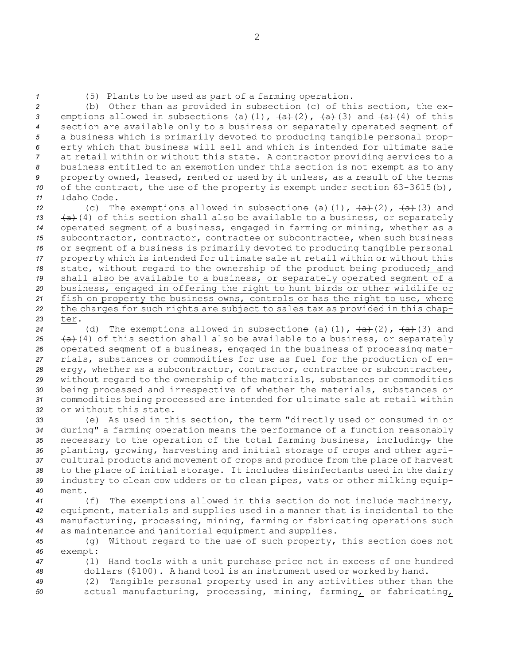*<sup>1</sup>* (5) Plants to be used as part of <sup>a</sup> farming operation.

 (b) Other than as provided in subsection (c) of this section, the ex-3 emptions allowed in subsections (a)(1),  $\frac{1}{a}$   $\frac{1}{b}$   $\frac{1}{c}$   $\frac{1}{c}$  and  $\frac{1}{a}$  (4) of this section are available only to <sup>a</sup> business or separately operated segment of <sup>a</sup> business which is primarily devoted to producing tangible personal prop- erty which that business will sell and which is intended for ultimate sale at retail within or without this state. <sup>A</sup> contractor providing services to <sup>a</sup> business entitled to an exemption under this section is not exempt as to any property owned, leased, rented or used by it unless, as <sup>a</sup> result of the terms 10 of the contract, the use of the property is exempt under section 63-3615(b), Idaho Code.

 (c) The exemptions allowed in subsections (a)(1),  $\left(\frac{a}{a}\right)$  (2),  $\left(\frac{a}{a}\right)$  and  $(a)$  (4) of this section shall also be available to a business, or separately operated segment of <sup>a</sup> business, engaged in farming or mining, whether as <sup>a</sup> subcontractor, contractor, contractee or subcontractee, when such business or segment of <sup>a</sup> business is primarily devoted to producing tangible personal property which is intended for ultimate sale at retail within or without this state, without regard to the ownership of the product being produced; and shall also be available to <sup>a</sup> business, or separately operated segment of <sup>a</sup> business, engaged in offering the right to hunt birds or other wildlife or fish on property the business owns, controls or has the right to use, where the charges for such rights are subject to sales tax as provided in this chap-*23* ter.

24 (d) The exemptions allowed in subsections (a)(1),  $\overline{(a)}$  (2),  $\overline{(a)}$  (3) and  $(a)$  (4) of this section shall also be available to a business, or separately operated segment of <sup>a</sup> business, engaged in the business of processing mate- rials, substances or commodities for use as fuel for the production of en-28 ergy, whether as a subcontractor, contractor, contractee or subcontractee, without regard to the ownership of the materials, substances or commodities being processed and irrespective of whether the materials, substances or commodities being processed are intended for ultimate sale at retail within or without this state.

 (e) As used in this section, the term "directly used or consumed in or during" <sup>a</sup> farming operation means the performance of <sup>a</sup> function reasonably 35 necessary to the operation of the total farming business, including<sub>r</sub> the planting, growing, harvesting and initial storage of crops and other agri- cultural products and movement of crops and produce from the place of harvest to the place of initial storage. It includes disinfectants used in the dairy industry to clean cow udders or to clean pipes, vats or other milking equip-*40* ment.

 (f) The exemptions allowed in this section do not include machinery, equipment, materials and supplies used in <sup>a</sup> manner that is incidental to the manufacturing, processing, mining, farming or fabricating operations such as maintenance and janitorial equipment and supplies.

*<sup>45</sup>* (g) Without regard to the use of such property, this section does not *46* exempt:

*<sup>47</sup>* (1) Hand tools with <sup>a</sup> unit purchase price not in excess of one hundred *<sup>48</sup>* dollars (\$100). <sup>A</sup> hand tool is an instrument used or worked by hand.

*<sup>49</sup>* (2) Tangible personal property used in any activities other than the 50 actual manufacturing, processing, mining, farming, or fabricating,